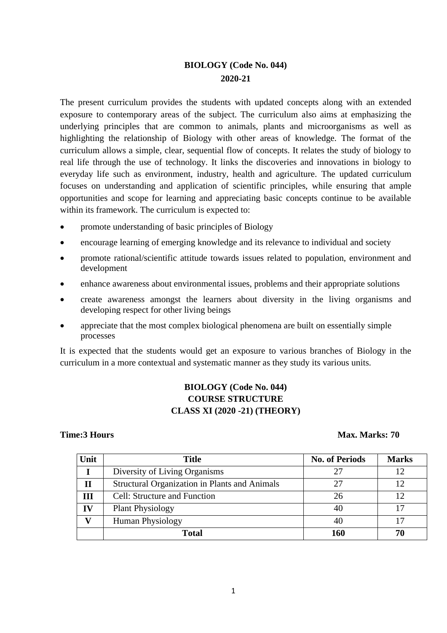# **BIOLOGY (Code No. 044) 2020-21**

The present curriculum provides the students with updated concepts along with an extended exposure to contemporary areas of the subject. The curriculum also aims at emphasizing the underlying principles that are common to animals, plants and microorganisms as well as highlighting the relationship of Biology with other areas of knowledge. The format of the curriculum allows a simple, clear, sequential flow of concepts. It relates the study of biology to real life through the use of technology. It links the discoveries and innovations in biology to everyday life such as environment, industry, health and agriculture. The updated curriculum focuses on understanding and application of scientific principles, while ensuring that ample opportunities and scope for learning and appreciating basic concepts continue to be available within its framework. The curriculum is expected to:

- promote understanding of basic principles of Biology
- encourage learning of emerging knowledge and its relevance to individual and society
- promote rational/scientific attitude towards issues related to population, environment and development
- enhance awareness about environmental issues, problems and their appropriate solutions
- create awareness amongst the learners about diversity in the living organisms and developing respect for other living beings
- appreciate that the most complex biological phenomena are built on essentially simple processes

It is expected that the students would get an exposure to various branches of Biology in the curriculum in a more contextual and systematic manner as they study its various units.

# **BIOLOGY (Code No. 044) COURSE STRUCTURE CLASS XI (2020 -21) (THEORY)**

# **Time:3 Hours Max. Marks: 70**

| Unit | <b>Title</b>                                  | <b>No. of Periods</b> | <b>Marks</b> |
|------|-----------------------------------------------|-----------------------|--------------|
|      | Diversity of Living Organisms                 | 27                    |              |
| П    | Structural Organization in Plants and Animals | 27                    |              |
| III  | Cell: Structure and Function                  | 26                    |              |
| IV   | <b>Plant Physiology</b>                       | 40                    |              |
|      | <b>Human Physiology</b>                       | 40                    |              |
|      | <b>Total</b>                                  | 160                   |              |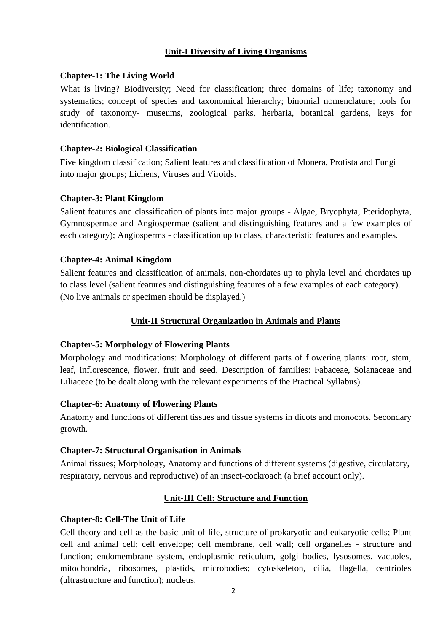# **Unit-I Diversity of Living Organisms**

# **Chapter-1: The Living World**

What is living? Biodiversity; Need for classification; three domains of life; taxonomy and systematics; concept of species and taxonomical hierarchy; binomial nomenclature; tools for study of taxonomy- museums, zoological parks, herbaria, botanical gardens, keys for identification.

# **Chapter-2: Biological Classification**

Five kingdom classification; Salient features and classification of Monera, Protista and Fungi into major groups; Lichens, Viruses and Viroids.

# **Chapter-3: Plant Kingdom**

Salient features and classification of plants into major groups - Algae, Bryophyta, Pteridophyta, Gymnospermae and Angiospermae (salient and distinguishing features and a few examples of each category); Angiosperms - classification up to class, characteristic features and examples.

# **Chapter-4: Animal Kingdom**

Salient features and classification of animals, non-chordates up to phyla level and chordates up to class level (salient features and distinguishing features of a few examples of each category). (No live animals or specimen should be displayed.)

# **Unit-II Structural Organization in Animals and Plants**

# **Chapter-5: Morphology of Flowering Plants**

Morphology and modifications: Morphology of different parts of flowering plants: root, stem, leaf, inflorescence, flower, fruit and seed. Description of families: Fabaceae, Solanaceae and Liliaceae (to be dealt along with the relevant experiments of the Practical Syllabus).

# **Chapter-6: Anatomy of Flowering Plants**

Anatomy and functions of different tissues and tissue systems in dicots and monocots. Secondary growth.

# **Chapter-7: Structural Organisation in Animals**

Animal tissues; Morphology, Anatomy and functions of different systems (digestive, circulatory, respiratory, nervous and reproductive) of an insect-cockroach (a brief account only).

# **Unit-III Cell: Structure and Function**

# **Chapter-8: Cell-The Unit of Life**

Cell theory and cell as the basic unit of life, structure of prokaryotic and eukaryotic cells; Plant cell and animal cell; cell envelope; cell membrane, cell wall; cell organelles - structure and function; endomembrane system, endoplasmic reticulum, golgi bodies, lysosomes, vacuoles, mitochondria, ribosomes, plastids, microbodies; cytoskeleton, cilia, flagella, centrioles (ultrastructure and function); nucleus.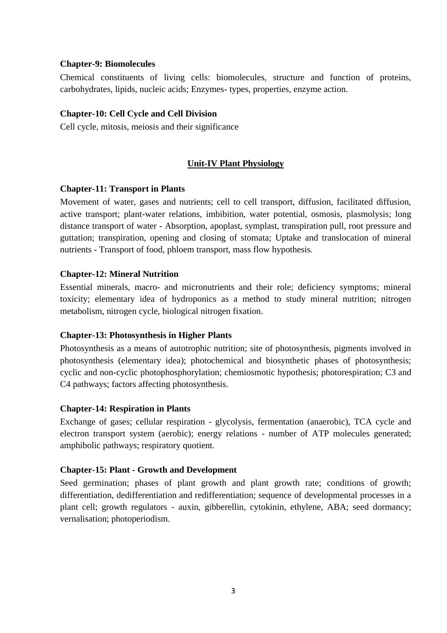# **Chapter-9: Biomolecules**

Chemical constituents of living cells: biomolecules, structure and function of proteins, carbohydrates, lipids, nucleic acids; Enzymes- types, properties, enzyme action.

## **Chapter-10: Cell Cycle and Cell Division**

Cell cycle, mitosis, meiosis and their significance

# **Unit-IV Plant Physiology**

### **Chapter-11: Transport in Plants**

Movement of water, gases and nutrients; cell to cell transport, diffusion, facilitated diffusion, active transport; plant-water relations, imbibition, water potential, osmosis, plasmolysis; long distance transport of water - Absorption, apoplast, symplast, transpiration pull, root pressure and guttation; transpiration, opening and closing of stomata; Uptake and translocation of mineral nutrients - Transport of food, phloem transport, mass flow hypothesis.

### **Chapter-12: Mineral Nutrition**

Essential minerals, macro- and micronutrients and their role; deficiency symptoms; mineral toxicity; elementary idea of hydroponics as a method to study mineral nutrition; nitrogen metabolism, nitrogen cycle, biological nitrogen fixation.

# **Chapter-13: Photosynthesis in Higher Plants**

Photosynthesis as a means of autotrophic nutrition; site of photosynthesis, pigments involved in photosynthesis (elementary idea); photochemical and biosynthetic phases of photosynthesis; cyclic and non-cyclic photophosphorylation; chemiosmotic hypothesis; photorespiration; C3 and C4 pathways; factors affecting photosynthesis.

### **Chapter-14: Respiration in Plants**

Exchange of gases; cellular respiration - glycolysis, fermentation (anaerobic), TCA cycle and electron transport system (aerobic); energy relations - number of ATP molecules generated; amphibolic pathways; respiratory quotient.

# **Chapter-15: Plant - Growth and Development**

Seed germination; phases of plant growth and plant growth rate; conditions of growth; differentiation, dedifferentiation and redifferentiation; sequence of developmental processes in a plant cell; growth regulators - auxin, gibberellin, cytokinin, ethylene, ABA; seed dormancy; vernalisation; photoperiodism.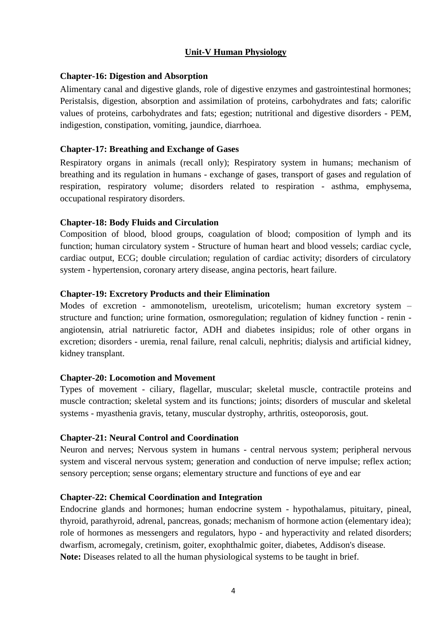# **Unit-V Human Physiology**

# **Chapter-16: Digestion and Absorption**

Alimentary canal and digestive glands, role of digestive enzymes and gastrointestinal hormones; Peristalsis, digestion, absorption and assimilation of proteins, carbohydrates and fats; calorific values of proteins, carbohydrates and fats; egestion; nutritional and digestive disorders - PEM, indigestion, constipation, vomiting, jaundice, diarrhoea.

# **Chapter-17: Breathing and Exchange of Gases**

Respiratory organs in animals (recall only); Respiratory system in humans; mechanism of breathing and its regulation in humans - exchange of gases, transport of gases and regulation of respiration, respiratory volume; disorders related to respiration - asthma, emphysema, occupational respiratory disorders.

# **Chapter-18: Body Fluids and Circulation**

Composition of blood, blood groups, coagulation of blood; composition of lymph and its function; human circulatory system - Structure of human heart and blood vessels; cardiac cycle, cardiac output, ECG; double circulation; regulation of cardiac activity; disorders of circulatory system - hypertension, coronary artery disease, angina pectoris, heart failure.

# **Chapter-19: Excretory Products and their Elimination**

Modes of excretion - ammonotelism, ureotelism, uricotelism; human excretory system – structure and function; urine formation, osmoregulation; regulation of kidney function - renin angiotensin, atrial natriuretic factor, ADH and diabetes insipidus; role of other organs in excretion; disorders - uremia, renal failure, renal calculi, nephritis; dialysis and artificial kidney, kidney transplant.

# **Chapter-20: Locomotion and Movement**

Types of movement - ciliary, flagellar, muscular; skeletal muscle, contractile proteins and muscle contraction; skeletal system and its functions; joints; disorders of muscular and skeletal systems - myasthenia gravis, tetany, muscular dystrophy, arthritis, osteoporosis, gout.

# **Chapter-21: Neural Control and Coordination**

Neuron and nerves; Nervous system in humans - central nervous system; peripheral nervous system and visceral nervous system; generation and conduction of nerve impulse; reflex action; sensory perception; sense organs; elementary structure and functions of eye and ear

# **Chapter-22: Chemical Coordination and Integration**

Endocrine glands and hormones; human endocrine system - hypothalamus, pituitary, pineal, thyroid, parathyroid, adrenal, pancreas, gonads; mechanism of hormone action (elementary idea); role of hormones as messengers and regulators, hypo - and hyperactivity and related disorders; dwarfism, acromegaly, cretinism, goiter, exophthalmic goiter, diabetes, Addison's disease. **Note:** Diseases related to all the human physiological systems to be taught in brief.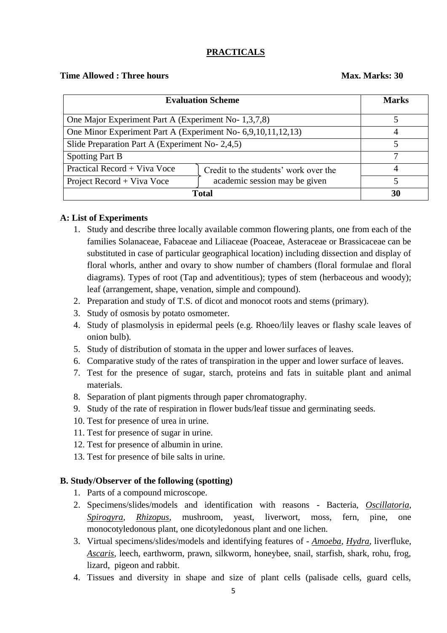# **PRACTICALS**

# **Time Allowed : Three hours Max. Marks: 30**

| <b>Evaluation Scheme</b>                                     |                                       | <b>Marks</b> |
|--------------------------------------------------------------|---------------------------------------|--------------|
| One Major Experiment Part A (Experiment No- 1,3,7,8)         |                                       |              |
| One Minor Experiment Part A (Experiment No- 6,9,10,11,12,13) |                                       |              |
| Slide Preparation Part A (Experiment No- 2,4,5)              |                                       |              |
| <b>Spotting Part B</b>                                       |                                       |              |
| Practical Record + Viva Voce                                 | Credit to the students' work over the | 4            |
| Project Record + Viva Voce                                   | academic session may be given         |              |
| Total                                                        |                                       | 30           |

# **A: List of Experiments**

- 1. Study and describe three locally available common flowering plants, one from each of the families Solanaceae, Fabaceae and Liliaceae (Poaceae, Asteraceae or Brassicaceae can be substituted in case of particular geographical location) including dissection and display of floral whorls, anther and ovary to show number of chambers (floral formulae and floral diagrams). Types of root (Tap and adventitious); types of stem (herbaceous and woody); leaf (arrangement, shape, venation, simple and compound).
- 2. Preparation and study of T.S. of dicot and monocot roots and stems (primary).
- 3. Study of osmosis by potato osmometer.
- 4. Study of plasmolysis in epidermal peels (e.g. Rhoeo/lily leaves or flashy scale leaves of onion bulb).
- 5. Study of distribution of stomata in the upper and lower surfaces of leaves.
- 6. Comparative study of the rates of transpiration in the upper and lower surface of leaves.
- 7. Test for the presence of sugar, starch, proteins and fats in suitable plant and animal materials.
- 8. Separation of plant pigments through paper chromatography.
- 9. Study of the rate of respiration in flower buds/leaf tissue and germinating seeds.
- 10. Test for presence of urea in urine.
- 11. Test for presence of sugar in urine.
- 12. Test for presence of albumin in urine.
- 13. Test for presence of bile salts in urine.

# **B. Study/Observer of the following (spotting)**

- 1. Parts of a compound microscope.
- 2. Specimens/slides/models and identification with reasons Bacteria, *Oscillatoria, Spirogyra, Rhizopus*, mushroom, yeast, liverwort, moss, fern, pine, one monocotyledonous plant, one dicotyledonous plant and one lichen.
- 3. Virtual specimens/slides/models and identifying features of *Amoeba, Hydra,* liverfluke, *Ascaris*, leech, earthworm, prawn, silkworm, honeybee, snail, starfish, shark, rohu, frog, lizard, pigeon and rabbit.
- 4. Tissues and diversity in shape and size of plant cells (palisade cells, guard cells,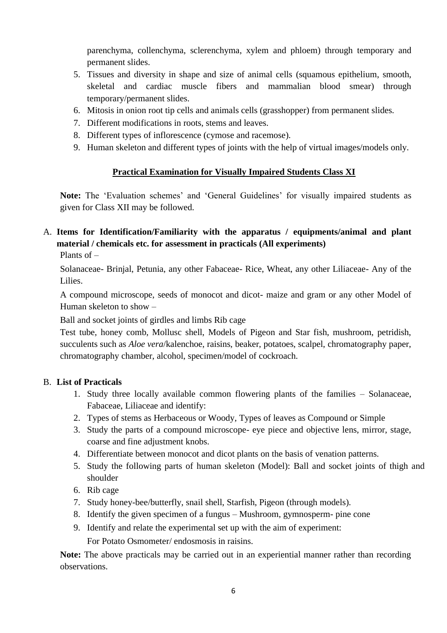parenchyma, collenchyma, sclerenchyma, xylem and phloem) through temporary and permanent slides.

- 5. Tissues and diversity in shape and size of animal cells (squamous epithelium, smooth, skeletal and cardiac muscle fibers and mammalian blood smear) through temporary/permanent slides.
- 6. Mitosis in onion root tip cells and animals cells (grasshopper) from permanent slides.
- 7. Different modifications in roots, stems and leaves.
- 8. Different types of inflorescence (cymose and racemose).
- 9. Human skeleton and different types of joints with the help of virtual images/models only.

# **Practical Examination for Visually Impaired Students Class XI**

**Note:** The 'Evaluation schemes' and 'General Guidelines' for visually impaired students as given for Class XII may be followed.

# A. **Items for Identification/Familiarity with the apparatus / equipments/animal and plant material / chemicals etc. for assessment in practicals (All experiments)**

Plants of –

Solanaceae- Brinjal, Petunia, any other Fabaceae- Rice, Wheat, any other Liliaceae- Any of the Lilies.

A compound microscope, seeds of monocot and dicot- maize and gram or any other Model of Human skeleton to show –

Ball and socket joints of girdles and limbs Rib cage

Test tube, honey comb, Mollusc shell, Models of Pigeon and Star fish, mushroom, petridish, succulents such as *Aloe vera*/kalenchoe, raisins, beaker, potatoes, scalpel, chromatography paper, chromatography chamber, alcohol, specimen/model of cockroach.

# B. **List of Practicals**

- 1. Study three locally available common flowering plants of the families Solanaceae, Fabaceae, Liliaceae and identify:
- 2. Types of stems as Herbaceous or Woody, Types of leaves as Compound or Simple
- 3. Study the parts of a compound microscope- eye piece and objective lens, mirror, stage, coarse and fine adjustment knobs.
- 4. Differentiate between monocot and dicot plants on the basis of venation patterns.
- 5. Study the following parts of human skeleton (Model): Ball and socket joints of thigh and shoulder
- 6. Rib cage
- 7. Study honey-bee/butterfly, snail shell, Starfish, Pigeon (through models).
- 8. Identify the given specimen of a fungus Mushroom, gymnosperm- pine cone
- 9. Identify and relate the experimental set up with the aim of experiment:

For Potato Osmometer/ endosmosis in raisins.

**Note:** The above practicals may be carried out in an experiential manner rather than recording observations.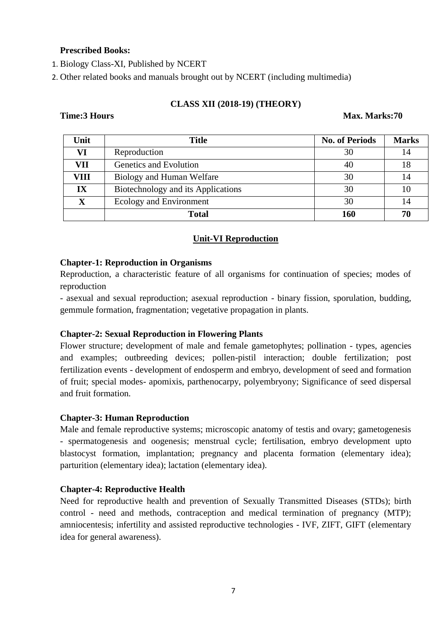# **Prescribed Books:**

1. Biology Class-XI, Published by NCERT

2. Other related books and manuals brought out by NCERT (including multimedia)

# **CLASS XII (2018-19) (THEORY)**

### **Time:3 Hours Max. Marks:70**

| Unit        | <b>Title</b>                       | <b>No. of Periods</b> | <b>Marks</b> |
|-------------|------------------------------------|-----------------------|--------------|
| VI          | Reproduction                       | 30                    | 14           |
| VII         | Genetics and Evolution             | 40                    | 18           |
| VIII        | Biology and Human Welfare          | 30                    | 14           |
| IX          | Biotechnology and its Applications | 30                    | 10           |
| $\mathbf X$ | Ecology and Environment            | 30                    | 14           |
|             | <b>Total</b>                       | 160                   | 70           |

# **Unit-VI Reproduction**

### **Chapter-1: Reproduction in Organisms**

Reproduction, a characteristic feature of all organisms for continuation of species; modes of reproduction

- asexual and sexual reproduction; asexual reproduction - binary fission, sporulation, budding, gemmule formation, fragmentation; vegetative propagation in plants.

# **Chapter-2: Sexual Reproduction in Flowering Plants**

Flower structure; development of male and female gametophytes; pollination - types, agencies and examples; outbreeding devices; pollen-pistil interaction; double fertilization; post fertilization events - development of endosperm and embryo, development of seed and formation of fruit; special modes- apomixis, parthenocarpy, polyembryony; Significance of seed dispersal and fruit formation.

# **Chapter-3: Human Reproduction**

Male and female reproductive systems; microscopic anatomy of testis and ovary; gametogenesis - spermatogenesis and oogenesis; menstrual cycle; fertilisation, embryo development upto blastocyst formation, implantation; pregnancy and placenta formation (elementary idea); parturition (elementary idea); lactation (elementary idea).

# **Chapter-4: Reproductive Health**

Need for reproductive health and prevention of Sexually Transmitted Diseases (STDs); birth control - need and methods, contraception and medical termination of pregnancy (MTP); amniocentesis; infertility and assisted reproductive technologies - IVF, ZIFT, GIFT (elementary idea for general awareness).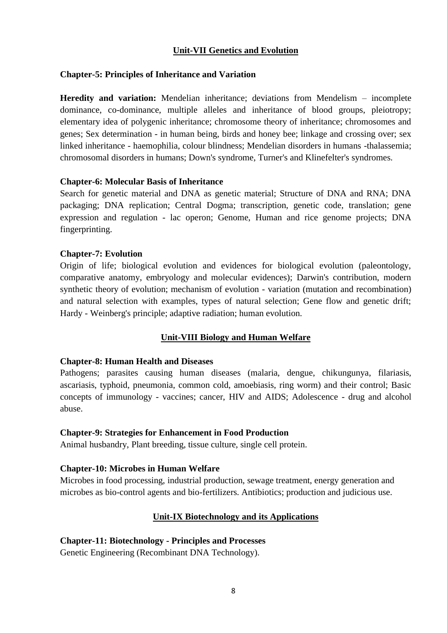# **Unit-VII Genetics and Evolution**

# **Chapter-5: Principles of Inheritance and Variation**

**Heredity and variation:** Mendelian inheritance; deviations from Mendelism – incomplete dominance, co-dominance, multiple alleles and inheritance of blood groups, pleiotropy; elementary idea of polygenic inheritance; chromosome theory of inheritance; chromosomes and genes; Sex determination - in human being, birds and honey bee; linkage and crossing over; sex linked inheritance - haemophilia, colour blindness; Mendelian disorders in humans -thalassemia; chromosomal disorders in humans; Down's syndrome, Turner's and Klinefelter's syndromes.

### **Chapter-6: Molecular Basis of Inheritance**

Search for genetic material and DNA as genetic material; Structure of DNA and RNA; DNA packaging; DNA replication; Central Dogma; transcription, genetic code, translation; gene expression and regulation - lac operon; Genome, Human and rice genome projects; DNA fingerprinting.

# **Chapter-7: Evolution**

Origin of life; biological evolution and evidences for biological evolution (paleontology, comparative anatomy, embryology and molecular evidences); Darwin's contribution, modern synthetic theory of evolution; mechanism of evolution - variation (mutation and recombination) and natural selection with examples, types of natural selection; Gene flow and genetic drift; Hardy - Weinberg's principle; adaptive radiation; human evolution.

# **Unit-VIII Biology and Human Welfare**

# **Chapter-8: Human Health and Diseases**

Pathogens; parasites causing human diseases (malaria, dengue, chikungunya, filariasis, ascariasis, typhoid, pneumonia, common cold, amoebiasis, ring worm) and their control; Basic concepts of immunology - vaccines; cancer, HIV and AIDS; Adolescence - drug and alcohol abuse.

# **Chapter-9: Strategies for Enhancement in Food Production**

Animal husbandry, Plant breeding, tissue culture, single cell protein.

# **Chapter-10: Microbes in Human Welfare**

Microbes in food processing, industrial production, sewage treatment, energy generation and microbes as bio-control agents and bio-fertilizers. Antibiotics; production and judicious use.

# **Unit-IX Biotechnology and its Applications**

# **Chapter-11: Biotechnology - Principles and Processes**

Genetic Engineering (Recombinant DNA Technology).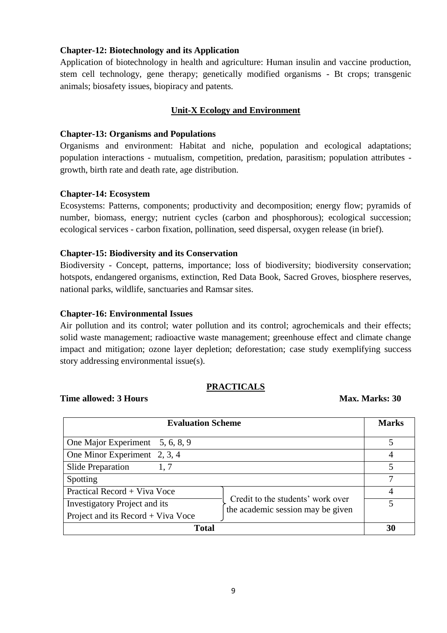# **Chapter-12: Biotechnology and its Application**

Application of biotechnology in health and agriculture: Human insulin and vaccine production, stem cell technology, gene therapy; genetically modified organisms - Bt crops; transgenic animals; biosafety issues, biopiracy and patents.

# **Unit-X Ecology and Environment**

# **Chapter-13: Organisms and Populations**

Organisms and environment: Habitat and niche, population and ecological adaptations; population interactions - mutualism, competition, predation, parasitism; population attributes growth, birth rate and death rate, age distribution.

# **Chapter-14: Ecosystem**

Ecosystems: Patterns, components; productivity and decomposition; energy flow; pyramids of number, biomass, energy; nutrient cycles (carbon and phosphorous); ecological succession; ecological services - carbon fixation, pollination, seed dispersal, oxygen release (in brief).

# **Chapter-15: Biodiversity and its Conservation**

Biodiversity - Concept, patterns, importance; loss of biodiversity; biodiversity conservation; hotspots, endangered organisms, extinction, Red Data Book, Sacred Groves, biosphere reserves, national parks, wildlife, sanctuaries and Ramsar sites.

# **Chapter-16: Environmental Issues**

Air pollution and its control; water pollution and its control; agrochemicals and their effects; solid waste management; radioactive waste management; greenhouse effect and climate change impact and mitigation; ozone layer depletion; deforestation; case study exemplifying success story addressing environmental issue(s).

# **PRACTICALS**

# **Time allowed: 3 Hours** Max. Marks: **30**

| <b>Evaluation Scheme</b>                                                                                       | <b>Marks</b> |
|----------------------------------------------------------------------------------------------------------------|--------------|
| One Major Experiment 5, 6, 8, 9                                                                                | 5            |
| One Minor Experiment 2, 3, 4                                                                                   |              |
| <b>Slide Preparation</b><br>1, 7                                                                               |              |
| Spotting                                                                                                       |              |
| Practical Record + Viva Voce                                                                                   | 4            |
| Credit to the students' work over<br><b>Investigatory Project and its</b><br>the academic session may be given |              |
| Project and its Record + Viva Voce                                                                             |              |
| Total                                                                                                          |              |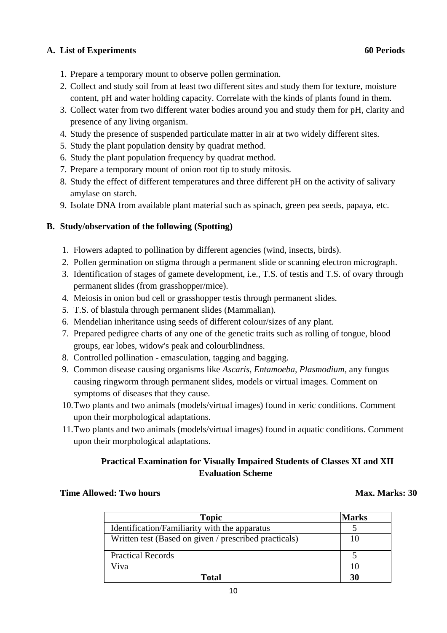# **A. List of Experiments 60 Periods**

- 1. Prepare a temporary mount to observe pollen germination.
- 2. Collect and study soil from at least two different sites and study them for texture, moisture content, pH and water holding capacity. Correlate with the kinds of plants found in them.
- 3. Collect water from two different water bodies around you and study them for pH, clarity and presence of any living organism.
- 4. Study the presence of suspended particulate matter in air at two widely different sites.
- 5. Study the plant population density by quadrat method.
- 6. Study the plant population frequency by quadrat method.
- 7. Prepare a temporary mount of onion root tip to study mitosis.
- 8. Study the effect of different temperatures and three different pH on the activity of salivary amylase on starch.
- 9. Isolate DNA from available plant material such as spinach, green pea seeds, papaya, etc.

# **B. Study/observation of the following (Spotting)**

- 1. Flowers adapted to pollination by different agencies (wind, insects, birds).
- 2. Pollen germination on stigma through a permanent slide or scanning electron micrograph.
- 3. Identification of stages of gamete development, i.e., T.S. of testis and T.S. of ovary through permanent slides (from grasshopper/mice).
- 4. Meiosis in onion bud cell or grasshopper testis through permanent slides.
- 5. T.S. of blastula through permanent slides (Mammalian).
- 6. Mendelian inheritance using seeds of different colour/sizes of any plant.
- 7. Prepared pedigree charts of any one of the genetic traits such as rolling of tongue, blood groups, ear lobes, widow's peak and colourblindness.
- 8. Controlled pollination emasculation, tagging and bagging.
- 9. Common disease causing organisms like *Ascaris, Entamoeba, Plasmodium*, any fungus causing ringworm through permanent slides, models or virtual images. Comment on symptoms of diseases that they cause.
- 10.Two plants and two animals (models/virtual images) found in xeric conditions. Comment upon their morphological adaptations.
- 11.Two plants and two animals (models/virtual images) found in aquatic conditions. Comment upon their morphological adaptations.

# **Practical Examination for Visually Impaired Students of Classes XI and XII Evaluation Scheme**

# **Time Allowed: Two hours Max. Marks: 30**

| <b>Topic</b>                                          | <b>Marks</b> |
|-------------------------------------------------------|--------------|
| Identification/Familiarity with the apparatus         |              |
| Written test (Based on given / prescribed practicals) |              |
| <b>Practical Records</b>                              |              |
| Viva                                                  |              |
| Total                                                 | 30           |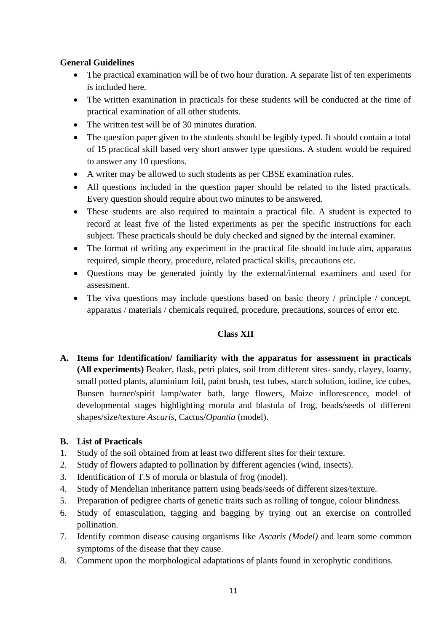# **General Guidelines**

- The practical examination will be of two hour duration. A separate list of ten experiments is included here.
- The written examination in practicals for these students will be conducted at the time of practical examination of all other students.
- The written test will be of 30 minutes duration.
- The question paper given to the students should be legibly typed. It should contain a total of 15 practical skill based very short answer type questions. A student would be required to answer any 10 questions.
- A writer may be allowed to such students as per CBSE examination rules.
- All questions included in the question paper should be related to the listed practicals. Every question should require about two minutes to be answered.
- These students are also required to maintain a practical file. A student is expected to record at least five of the listed experiments as per the specific instructions for each subject. These practicals should be duly checked and signed by the internal examiner.
- The format of writing any experiment in the practical file should include aim, apparatus required, simple theory, procedure, related practical skills, precautions etc.
- Questions may be generated jointly by the external/internal examiners and used for assessment.
- The viva questions may include questions based on basic theory / principle / concept, apparatus / materials / chemicals required, procedure, precautions, sources of error etc.

# **Class XII**

**A. Items for Identification/ familiarity with the apparatus for assessment in practicals (All experiments)** Beaker, flask, petri plates, soil from different sites- sandy, clayey, loamy, small potted plants, aluminium foil, paint brush, test tubes, starch solution, iodine, ice cubes, Bunsen burner/spirit lamp/water bath, large flowers, Maize inflorescence, model of developmental stages highlighting morula and blastula of frog, beads/seeds of different shapes/size/texture *Ascaris*, Cactus/*Opuntia* (model).

# **B. List of Practicals**

- 1. Study of the soil obtained from at least two different sites for their texture.
- 2. Study of flowers adapted to pollination by different agencies (wind, insects).
- 3. Identification of T.S of morula or blastula of frog (model).
- 4. Study of Mendelian inheritance pattern using beads/seeds of different sizes/texture.
- 5. Preparation of pedigree charts of genetic traits such as rolling of tongue, colour blindness.
- 6. Study of emasculation, tagging and bagging by trying out an exercise on controlled pollination.
- 7. Identify common disease causing organisms like *Ascaris (Model)* and learn some common symptoms of the disease that they cause.
- 8. Comment upon the morphological adaptations of plants found in xerophytic conditions.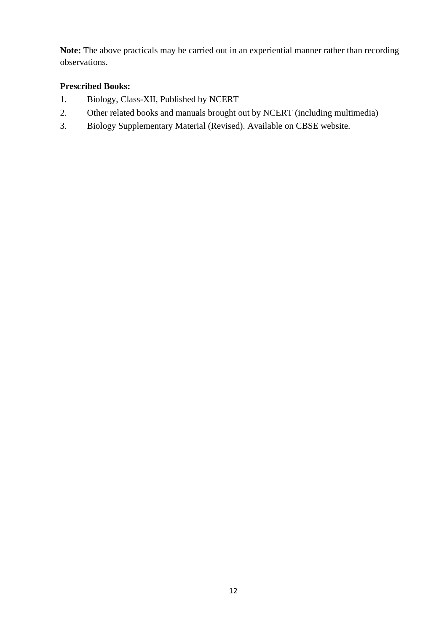**Note:** The above practicals may be carried out in an experiential manner rather than recording observations.

# **Prescribed Books:**

- 1. Biology, Class-XII, Published by NCERT
- 2. Other related books and manuals brought out by NCERT (including multimedia)
- 3. Biology Supplementary Material (Revised). Available on CBSE website.